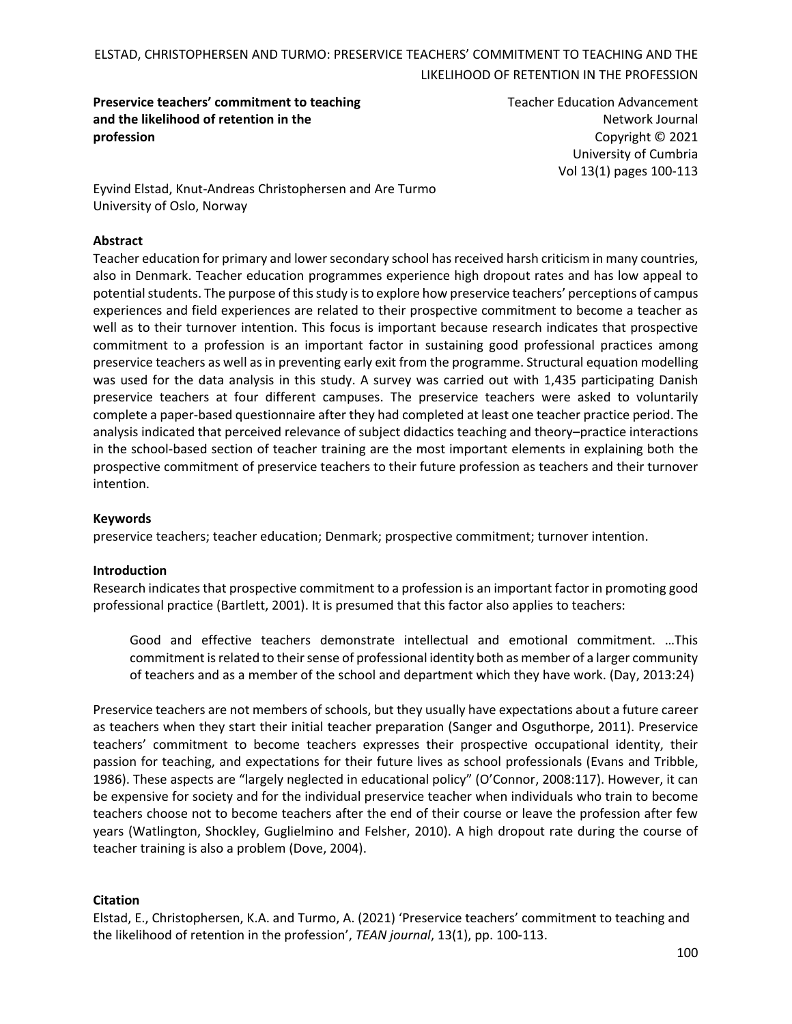**Preservice teachers' commitment to teaching and the likelihood of retention in the profession** 

Teacher Education Advancement Network Journal Copyright © 2021 University of Cumbria Vol 13(1) pages 100-113

Eyvind Elstad, Knut-Andreas Christophersen and Are Turmo University of Oslo, Norway

#### **Abstract**

Teacher education for primary and lower secondary school has received harsh criticism in many countries, also in Denmark. Teacher education programmes experience high dropout rates and has low appeal to potential students. The purpose of this study is to explore how preservice teachers' perceptions of campus experiences and field experiences are related to their prospective commitment to become a teacher as well as to their turnover intention. This focus is important because research indicates that prospective commitment to a profession is an important factor in sustaining good professional practices among preservice teachers as well as in preventing early exit from the programme. Structural equation modelling was used for the data analysis in this study. A survey was carried out with 1,435 participating Danish preservice teachers at four different campuses. The preservice teachers were asked to voluntarily complete a paper-based questionnaire after they had completed at least one teacher practice period. The analysis indicated that perceived relevance of subject didactics teaching and theory–practice interactions in the school-based section of teacher training are the most important elements in explaining both the prospective commitment of preservice teachers to their future profession as teachers and their turnover intention.

#### **Keywords**

preservice teachers; teacher education; Denmark; prospective commitment; turnover intention.

#### **Introduction**

Research indicates that prospective commitment to a profession is an important factor in promoting good professional practice (Bartlett, 2001). It is presumed that this factor also applies to teachers:

Good and effective teachers demonstrate intellectual and emotional commitment. …This commitment is related to their sense of professional identity both as member of a larger community of teachers and as a member of the school and department which they have work. (Day, 2013:24)

Preservice teachers are not members of schools, but they usually have expectations about a future career as teachers when they start their initial teacher preparation (Sanger and Osguthorpe, 2011). Preservice teachers' commitment to become teachers expresses their prospective occupational identity, their passion for teaching, and expectations for their future lives as school professionals (Evans and Tribble, 1986). These aspects are "largely neglected in educational policy" (O'Connor, 2008:117). However, it can be expensive for society and for the individual preservice teacher when individuals who train to become teachers choose not to become teachers after the end of their course or leave the profession after few years (Watlington, Shockley, Guglielmino and Felsher, 2010). A high dropout rate during the course of teacher training is also a problem (Dove, 2004).

#### **Citation**

Elstad, E., Christophersen, K.A. and Turmo, A. (2021) 'Preservice teachers' commitment to teaching and the likelihood of retention in the profession', *TEAN journal*, 13(1), pp. 100-113.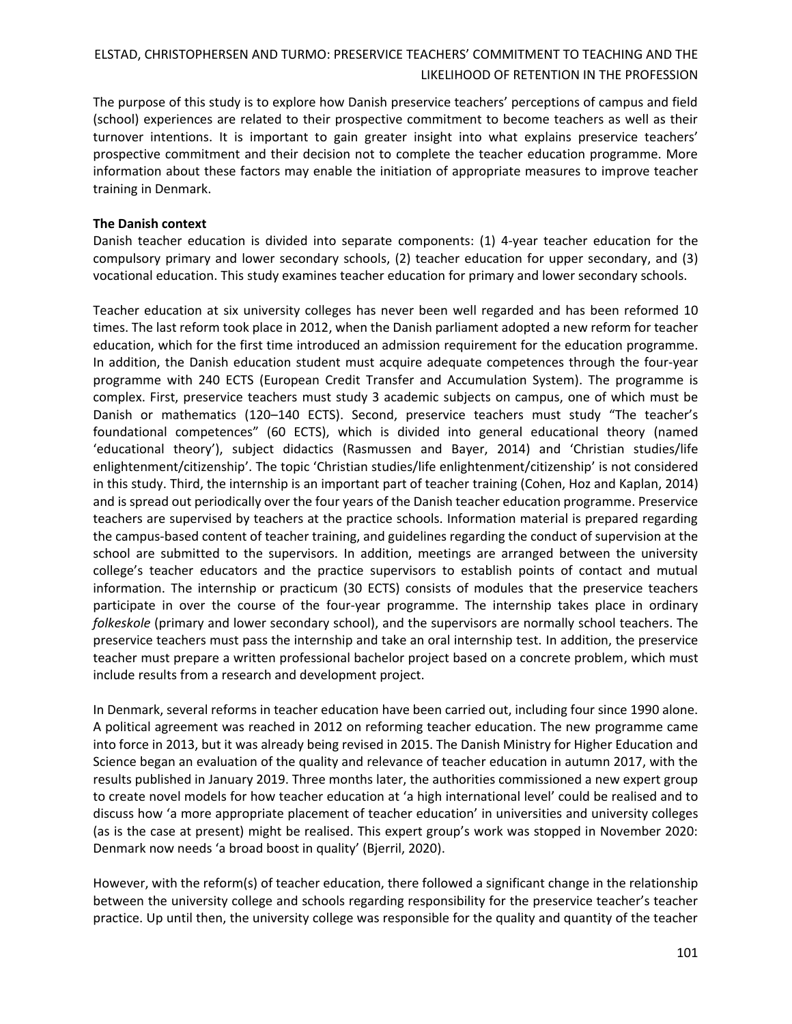The purpose of this study is to explore how Danish preservice teachers' perceptions of campus and field (school) experiences are related to their prospective commitment to become teachers as well as their turnover intentions. It is important to gain greater insight into what explains preservice teachers' prospective commitment and their decision not to complete the teacher education programme. More information about these factors may enable the initiation of appropriate measures to improve teacher training in Denmark.

### **The Danish context**

Danish teacher education is divided into separate components: (1) 4-year teacher education for the compulsory primary and lower secondary schools, (2) teacher education for upper secondary, and (3) vocational education. This study examines teacher education for primary and lower secondary schools.

Teacher education at six university colleges has never been well regarded and has been reformed 10 times. The last reform took place in 2012, when the Danish parliament adopted a new reform for teacher education, which for the first time introduced an admission requirement for the education programme. In addition, the Danish education student must acquire adequate competences through the four-year programme with 240 ECTS (European Credit Transfer and Accumulation System). The programme is complex. First, preservice teachers must study 3 academic subjects on campus, one of which must be Danish or mathematics (120–140 ECTS). Second, preservice teachers must study "The teacher's foundational competences" (60 ECTS), which is divided into general educational theory (named 'educational theory'), subject didactics (Rasmussen and Bayer, 2014) and 'Christian studies/life enlightenment/citizenship'. The topic 'Christian studies/life enlightenment/citizenship' is not considered in this study. Third, the internship is an important part of teacher training (Cohen, Hoz and Kaplan, 2014) and is spread out periodically over the four years of the Danish teacher education programme. Preservice teachers are supervised by teachers at the practice schools. Information material is prepared regarding the campus-based content of teacher training, and guidelines regarding the conduct of supervision at the school are submitted to the supervisors. In addition, meetings are arranged between the university college's teacher educators and the practice supervisors to establish points of contact and mutual information. The internship or practicum (30 ECTS) consists of modules that the preservice teachers participate in over the course of the four-year programme. The internship takes place in ordinary *folkeskole* (primary and lower secondary school), and the supervisors are normally school teachers. The preservice teachers must pass the internship and take an oral internship test. In addition, the preservice teacher must prepare a written professional bachelor project based on a concrete problem, which must include results from a research and development project.

In Denmark, several reforms in teacher education have been carried out, including four since 1990 alone. A political agreement was reached in 2012 on reforming teacher education. The new programme came into force in 2013, but it was already being revised in 2015. The Danish Ministry for Higher Education and Science began an evaluation of the quality and relevance of teacher education in autumn 2017, with the results published in January 2019. Three months later, the authorities commissioned a new expert group to create novel models for how teacher education at 'a high international level' could be realised and to discuss how 'a more appropriate placement of teacher education' in universities and university colleges (as is the case at present) might be realised. This expert group's work was stopped in November 2020: Denmark now needs 'a broad boost in quality' (Bjerril, 2020).

However, with the reform(s) of teacher education, there followed a significant change in the relationship between the university college and schools regarding responsibility for the preservice teacher's teacher practice. Up until then, the university college was responsible for the quality and quantity of the teacher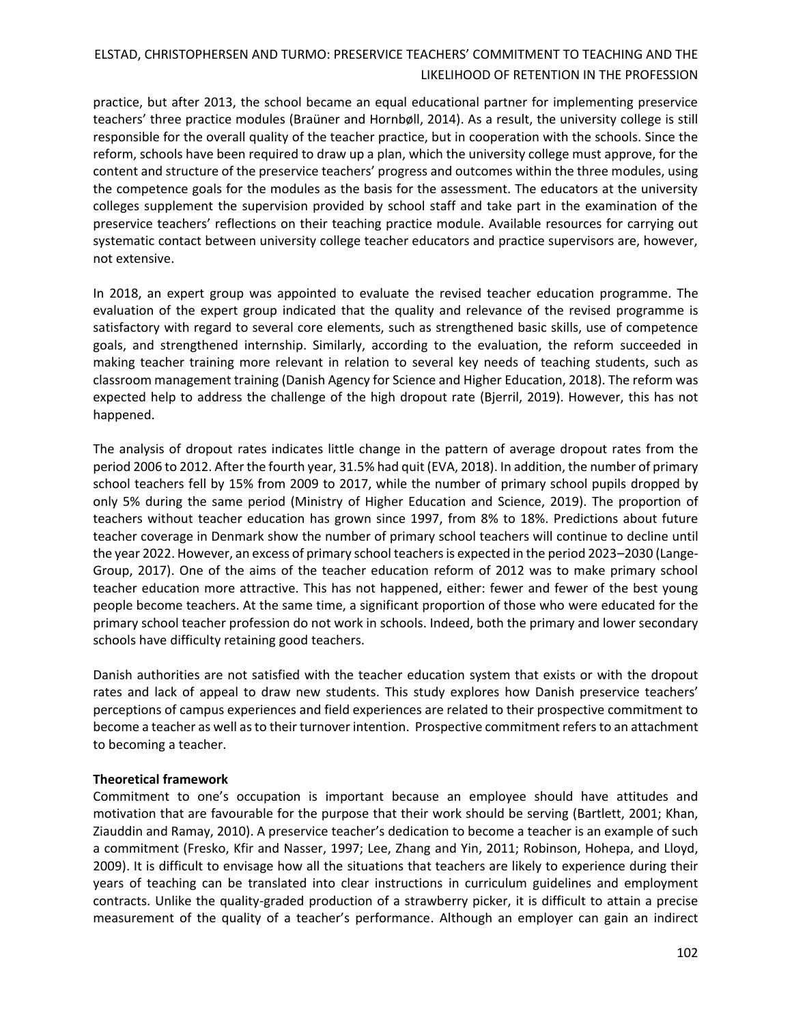practice, but after 2013, the school became an equal educational partner for implementing preservice teachers' three practice modules (Braüner and Hornbøll, 2014). As a result, the university college is still responsible for the overall quality of the teacher practice, but in cooperation with the schools. Since the reform, schools have been required to draw up a plan, which the university college must approve, for the content and structure of the preservice teachers' progress and outcomes within the three modules, using the competence goals for the modules as the basis for the assessment. The educators at the university colleges supplement the supervision provided by school staff and take part in the examination of the preservice teachers' reflections on their teaching practice module. Available resources for carrying out systematic contact between university college teacher educators and practice supervisors are, however, not extensive.

In 2018, an expert group was appointed to evaluate the revised teacher education programme. The evaluation of the expert group indicated that the quality and relevance of the revised programme is satisfactory with regard to several core elements, such as strengthened basic skills, use of competence goals, and strengthened internship. Similarly, according to the evaluation, the reform succeeded in making teacher training more relevant in relation to several key needs of teaching students, such as classroom management training (Danish Agency for Science and Higher Education, 2018). The reform was expected help to address the challenge of the high dropout rate (Bjerril, 2019). However, this has not happened.

The analysis of dropout rates indicates little change in the pattern of average dropout rates from the period 2006 to 2012. After the fourth year, 31.5% had quit (EVA, 2018). In addition, the number of primary school teachers fell by 15% from 2009 to 2017, while the number of primary school pupils dropped by only 5% during the same period (Ministry of Higher Education and Science, 2019). The proportion of teachers without teacher education has grown since 1997, from 8% to 18%. Predictions about future teacher coverage in Denmark show the number of primary school teachers will continue to decline until the year 2022. However, an excess of primary school teachers is expected in the period 2023–2030 (Lange-Group, 2017). One of the aims of the teacher education reform of 2012 was to make primary school teacher education more attractive. This has not happened, either: fewer and fewer of the best young people become teachers. At the same time, a significant proportion of those who were educated for the primary school teacher profession do not work in schools. Indeed, both the primary and lower secondary schools have difficulty retaining good teachers.

Danish authorities are not satisfied with the teacher education system that exists or with the dropout rates and lack of appeal to draw new students. This study explores how Danish preservice teachers' perceptions of campus experiences and field experiences are related to their prospective commitment to become a teacher as well as to their turnover intention. Prospective commitment refers to an attachment to becoming a teacher.

### **Theoretical framework**

Commitment to one's occupation is important because an employee should have attitudes and motivation that are favourable for the purpose that their work should be serving (Bartlett, 2001; Khan, Ziauddin and Ramay, 2010). A preservice teacher's dedication to become a teacher is an example of such a commitment (Fresko, Kfir and Nasser, 1997; Lee, Zhang and Yin, 2011; Robinson, Hohepa, and Lloyd, 2009). It is difficult to envisage how all the situations that teachers are likely to experience during their years of teaching can be translated into clear instructions in curriculum guidelines and employment contracts. Unlike the quality-graded production of a strawberry picker, it is difficult to attain a precise measurement of the quality of a teacher's performance. Although an employer can gain an indirect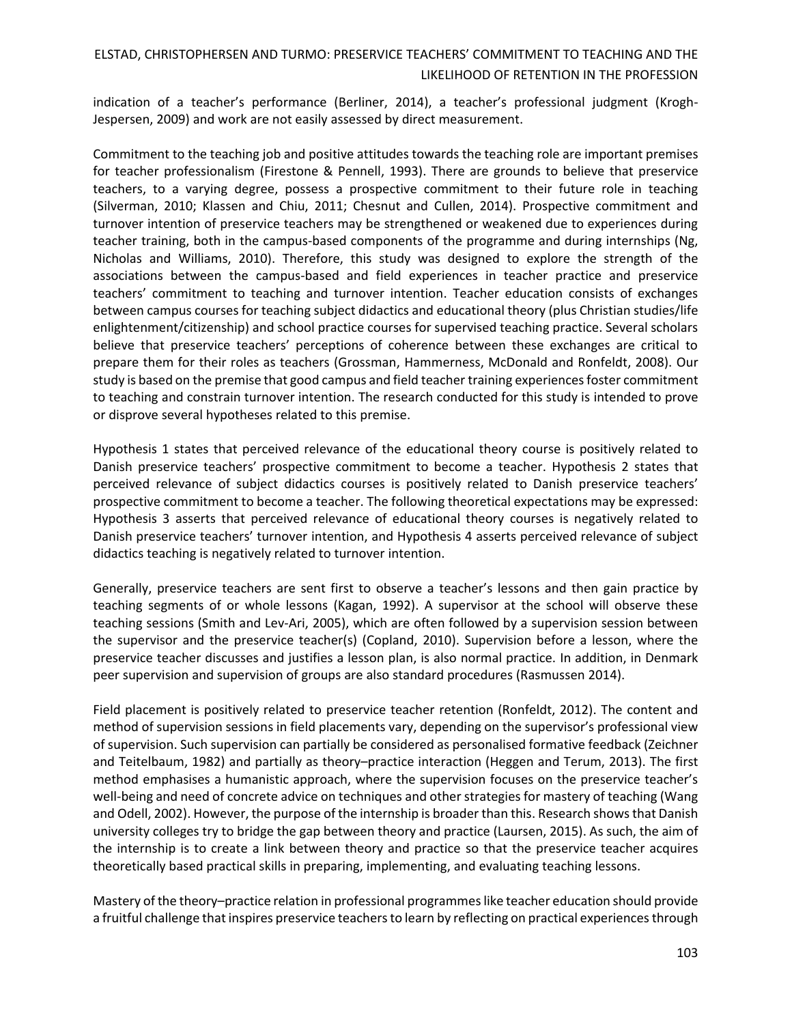indication of a teacher's performance (Berliner, 2014), a teacher's professional judgment (Krogh-Jespersen, 2009) and work are not easily assessed by direct measurement.

Commitment to the teaching job and positive attitudes towards the teaching role are important premises for teacher professionalism (Firestone & Pennell, 1993). There are grounds to believe that preservice teachers, to a varying degree, possess a prospective commitment to their future role in teaching (Silverman, 2010; Klassen and Chiu, 2011; Chesnut and Cullen, 2014). Prospective commitment and turnover intention of preservice teachers may be strengthened or weakened due to experiences during teacher training, both in the campus-based components of the programme and during internships (Ng, Nicholas and Williams, 2010). Therefore, this study was designed to explore the strength of the associations between the campus-based and field experiences in teacher practice and preservice teachers' commitment to teaching and turnover intention. Teacher education consists of exchanges between campus courses for teaching subject didactics and educational theory (plus Christian studies/life enlightenment/citizenship) and school practice courses for supervised teaching practice. Several scholars believe that preservice teachers' perceptions of coherence between these exchanges are critical to prepare them for their roles as teachers (Grossman, Hammerness, McDonald and Ronfeldt, 2008). Our study is based on the premise that good campus and field teacher training experiences foster commitment to teaching and constrain turnover intention. The research conducted for this study is intended to prove or disprove several hypotheses related to this premise.

Hypothesis 1 states that perceived relevance of the educational theory course is positively related to Danish preservice teachers' prospective commitment to become a teacher. Hypothesis 2 states that perceived relevance of subject didactics courses is positively related to Danish preservice teachers' prospective commitment to become a teacher. The following theoretical expectations may be expressed: Hypothesis 3 asserts that perceived relevance of educational theory courses is negatively related to Danish preservice teachers' turnover intention, and Hypothesis 4 asserts perceived relevance of subject didactics teaching is negatively related to turnover intention.

Generally, preservice teachers are sent first to observe a teacher's lessons and then gain practice by teaching segments of or whole lessons (Kagan, 1992). A supervisor at the school will observe these teaching sessions (Smith and Lev‐Ari, 2005), which are often followed by a supervision session between the supervisor and the preservice teacher(s) (Copland, 2010). Supervision before a lesson, where the preservice teacher discusses and justifies a lesson plan, is also normal practice. In addition, in Denmark peer supervision and supervision of groups are also standard procedures (Rasmussen 2014).

Field placement is positively related to preservice teacher retention (Ronfeldt, 2012). The content and method of supervision sessions in field placements vary, depending on the supervisor's professional view of supervision. Such supervision can partially be considered as personalised formative feedback (Zeichner and Teitelbaum, 1982) and partially as theory–practice interaction (Heggen and Terum, 2013). The first method emphasises a humanistic approach, where the supervision focuses on the preservice teacher's well-being and need of concrete advice on techniques and other strategies for mastery of teaching (Wang and Odell, 2002). However, the purpose of the internship is broader than this. Research shows that Danish university colleges try to bridge the gap between theory and practice (Laursen, 2015). As such, the aim of the internship is to create a link between theory and practice so that the preservice teacher acquires theoretically based practical skills in preparing, implementing, and evaluating teaching lessons.

Mastery of the theory–practice relation in professional programmes like teacher education should provide a fruitful challenge that inspires preservice teachers to learn by reflecting on practical experiences through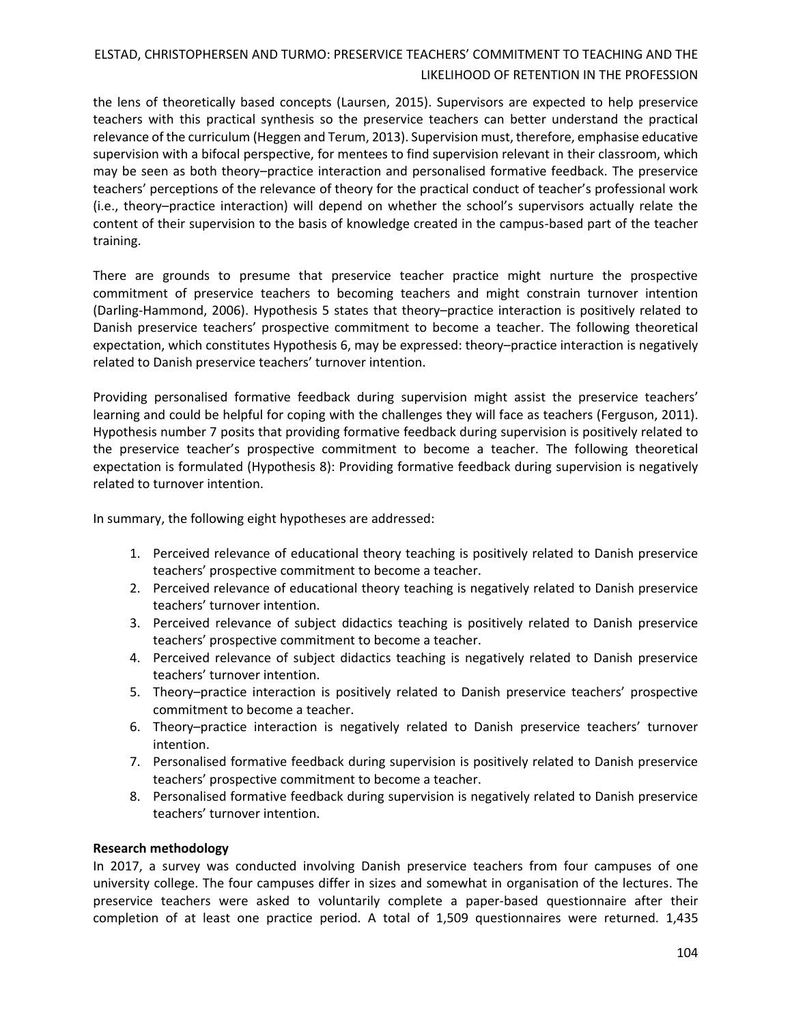the lens of theoretically based concepts (Laursen, 2015). Supervisors are expected to help preservice teachers with this practical synthesis so the preservice teachers can better understand the practical relevance of the curriculum (Heggen and Terum, 2013). Supervision must, therefore, emphasise educative supervision with a bifocal perspective, for mentees to find supervision relevant in their classroom, which may be seen as both theory–practice interaction and personalised formative feedback. The preservice teachers' perceptions of the relevance of theory for the practical conduct of teacher's professional work (i.e., theory–practice interaction) will depend on whether the school's supervisors actually relate the content of their supervision to the basis of knowledge created in the campus-based part of the teacher training.

There are grounds to presume that preservice teacher practice might nurture the prospective commitment of preservice teachers to becoming teachers and might constrain turnover intention (Darling-Hammond, 2006). Hypothesis 5 states that theory–practice interaction is positively related to Danish preservice teachers' prospective commitment to become a teacher. The following theoretical expectation, which constitutes Hypothesis 6, may be expressed: theory–practice interaction is negatively related to Danish preservice teachers' turnover intention.

Providing personalised formative feedback during supervision might assist the preservice teachers' learning and could be helpful for coping with the challenges they will face as teachers (Ferguson, 2011). Hypothesis number 7 posits that providing formative feedback during supervision is positively related to the preservice teacher's prospective commitment to become a teacher. The following theoretical expectation is formulated (Hypothesis 8): Providing formative feedback during supervision is negatively related to turnover intention.

In summary, the following eight hypotheses are addressed:

- 1. Perceived relevance of educational theory teaching is positively related to Danish preservice teachers' prospective commitment to become a teacher.
- 2. Perceived relevance of educational theory teaching is negatively related to Danish preservice teachers' turnover intention.
- 3. Perceived relevance of subject didactics teaching is positively related to Danish preservice teachers' prospective commitment to become a teacher.
- 4. Perceived relevance of subject didactics teaching is negatively related to Danish preservice teachers' turnover intention.
- 5. Theory–practice interaction is positively related to Danish preservice teachers' prospective commitment to become a teacher.
- 6. Theory–practice interaction is negatively related to Danish preservice teachers' turnover intention.
- 7. Personalised formative feedback during supervision is positively related to Danish preservice teachers' prospective commitment to become a teacher.
- 8. Personalised formative feedback during supervision is negatively related to Danish preservice teachers' turnover intention.

### **Research methodology**

In 2017, a survey was conducted involving Danish preservice teachers from four campuses of one university college. The four campuses differ in sizes and somewhat in organisation of the lectures. The preservice teachers were asked to voluntarily complete a paper-based questionnaire after their completion of at least one practice period. A total of 1,509 questionnaires were returned. 1,435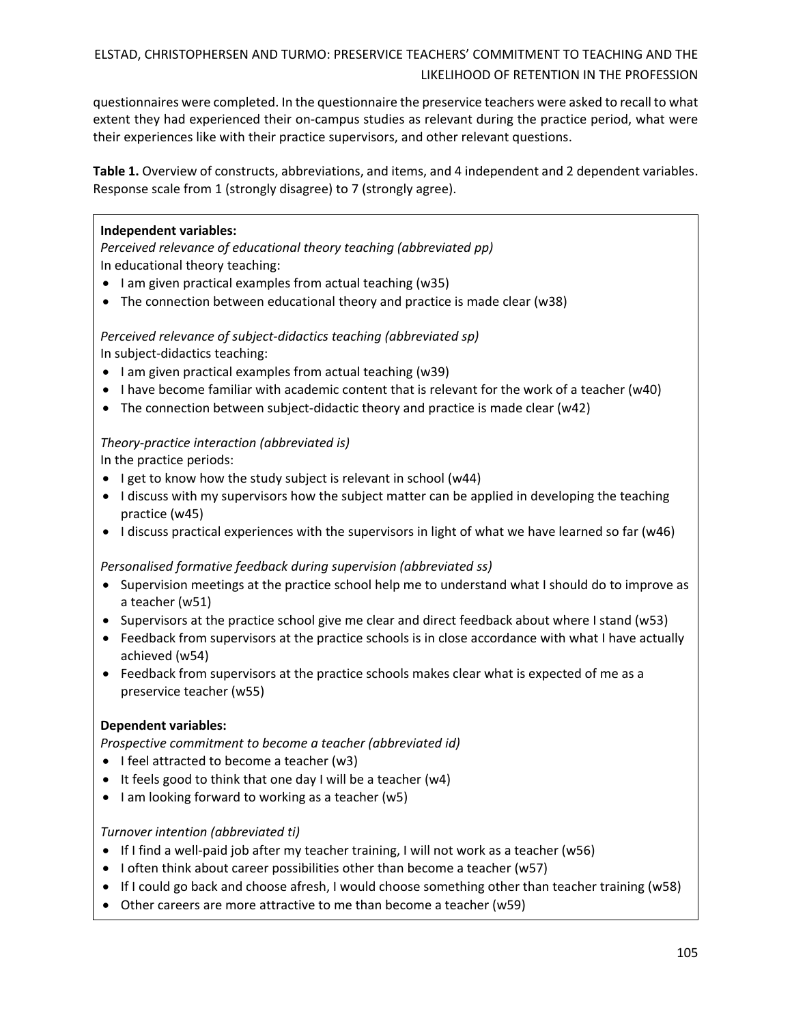questionnaires were completed. In the questionnaire the preservice teachers were asked to recall to what extent they had experienced their on-campus studies as relevant during the practice period, what were their experiences like with their practice supervisors, and other relevant questions.

**Table 1.** Overview of constructs, abbreviations, and items, and 4 independent and 2 dependent variables. Response scale from 1 (strongly disagree) to 7 (strongly agree).

## **Independent variables:**

*Perceived relevance of educational theory teaching (abbreviated pp)*  In educational theory teaching:

- I am given practical examples from actual teaching (w35)
- The connection between educational theory and practice is made clear (w38)

*Perceived relevance of subject-didactics teaching (abbreviated sp)* In subject-didactics teaching:

- I am given practical examples from actual teaching (w39)
- I have become familiar with academic content that is relevant for the work of a teacher (w40)
- The connection between subject-didactic theory and practice is made clear (w42)

## *Theory-practice interaction (abbreviated is)*

In the practice periods:

- I get to know how the study subject is relevant in school (w44)
- I discuss with my supervisors how the subject matter can be applied in developing the teaching practice (w45)
- I discuss practical experiences with the supervisors in light of what we have learned so far (w46)

*Personalised formative feedback during supervision (abbreviated ss)*

- Supervision meetings at the practice school help me to understand what I should do to improve as a teacher (w51)
- Supervisors at the practice school give me clear and direct feedback about where I stand (w53)
- Feedback from supervisors at the practice schools is in close accordance with what I have actually achieved (w54)
- Feedback from supervisors at the practice schools makes clear what is expected of me as a preservice teacher (w55)

### **Dependent variables:**

*Prospective commitment to become a teacher (abbreviated id)* 

- I feel attracted to become a teacher (w3)
- It feels good to think that one day I will be a teacher (w4)
- I am looking forward to working as a teacher (w5)

## *Turnover intention (abbreviated ti)*

- If I find a well-paid job after my teacher training, I will not work as a teacher (w56)
- I often think about career possibilities other than become a teacher (w57)
- If I could go back and choose afresh, I would choose something other than teacher training (w58)
- Other careers are more attractive to me than become a teacher (w59)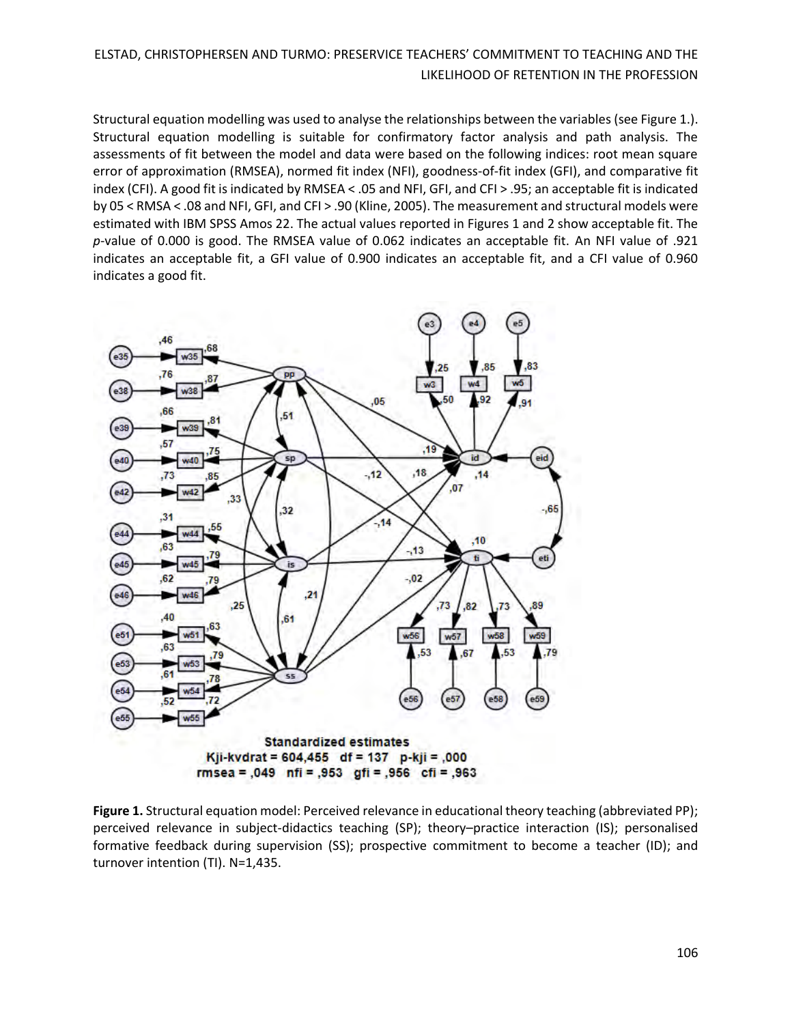Structural equation modelling was used to analyse the relationships between the variables (see Figure 1.). Structural equation modelling is suitable for confirmatory factor analysis and path analysis. The assessments of fit between the model and data were based on the following indices: root mean square error of approximation (RMSEA), normed fit index (NFI), goodness-of-fit index (GFI), and comparative fit index (CFI). A good fit is indicated by RMSEA < .05 and NFI, GFI, and CFI > .95; an acceptable fit is indicated by 05 < RMSA < .08 and NFI, GFI, and CFI > .90 (Kline, 2005). The measurement and structural models were estimated with IBM SPSS Amos 22. The actual values reported in Figures 1 and 2 show acceptable fit. The *p*-value of 0.000 is good. The RMSEA value of 0.062 indicates an acceptable fit. An NFI value of .921 indicates an acceptable fit, a GFI value of 0.900 indicates an acceptable fit, and a CFI value of 0.960 indicates a good fit.



Figure 1. Structural equation model: Perceived relevance in educational theory teaching (abbreviated PP); perceived relevance in subject-didactics teaching (SP); theory–practice interaction (IS); personalised formative feedback during supervision (SS); prospective commitment to become a teacher (ID); and turnover intention (TI). N=1,435.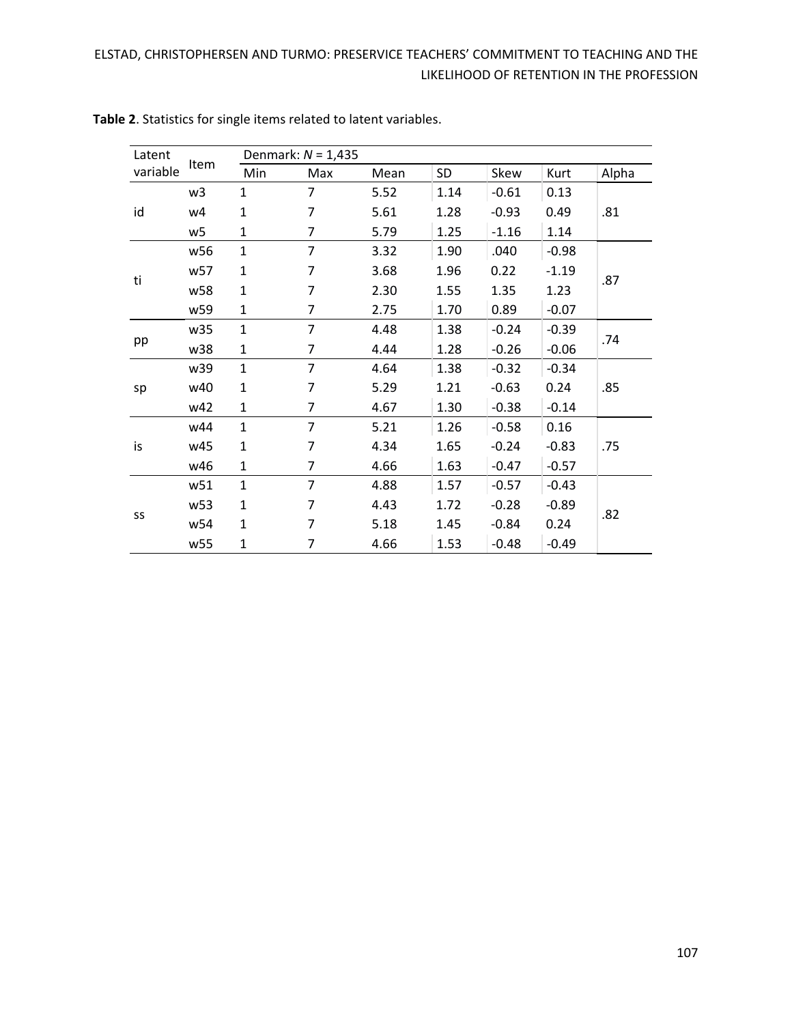| Latent   | Item            | Denmark: $N = 1,435$ |                |      |      |         |         |       |
|----------|-----------------|----------------------|----------------|------|------|---------|---------|-------|
| variable |                 | Min                  | Max            | Mean | SD   | Skew    | Kurt    | Alpha |
| id       | w <sub>3</sub>  | 1                    | 7              | 5.52 | 1.14 | $-0.61$ | 0.13    | .81   |
|          | w4              | 1                    | 7              | 5.61 | 1.28 | $-0.93$ | 0.49    |       |
|          | w5              | 1                    | 7              | 5.79 | 1.25 | $-1.16$ | 1.14    |       |
| ti       | w56             | $\mathbf{1}$         | 7              | 3.32 | 1.90 | .040    | $-0.98$ | .87   |
|          | w57             | 1                    | 7              | 3.68 | 1.96 | 0.22    | $-1.19$ |       |
|          | w58             | 1                    | 7              | 2.30 | 1.55 | 1.35    | 1.23    |       |
|          | w59             | $\mathbf{1}$         | 7              | 2.75 | 1.70 | 0.89    | $-0.07$ |       |
| pp       | w35             | $\mathbf{1}$         | 7              | 4.48 | 1.38 | $-0.24$ | $-0.39$ | .74   |
|          | w38             | $\mathbf{1}$         | 7              | 4.44 | 1.28 | $-0.26$ | $-0.06$ |       |
| sp       | w39             | $\mathbf{1}$         | 7              | 4.64 | 1.38 | $-0.32$ | $-0.34$ | .85   |
|          | w40             | $\mathbf{1}$         | 7              | 5.29 | 1.21 | $-0.63$ | 0.24    |       |
|          | w42             | $\mathbf{1}$         | 7              | 4.67 | 1.30 | $-0.38$ | $-0.14$ |       |
| is       | w44             | $\mathbf{1}$         | 7              | 5.21 | 1.26 | $-0.58$ | 0.16    | .75   |
|          | w45             | $\mathbf{1}$         | 7              | 4.34 | 1.65 | $-0.24$ | $-0.83$ |       |
|          | w46             | 1                    | 7              | 4.66 | 1.63 | $-0.47$ | $-0.57$ |       |
| SS       | w51             | $\mathbf{1}$         | $\overline{7}$ | 4.88 | 1.57 | $-0.57$ | $-0.43$ | .82   |
|          | w <sub>53</sub> | 1                    | 7              | 4.43 | 1.72 | $-0.28$ | $-0.89$ |       |
|          | w54             | $\mathbf{1}$         | 7              | 5.18 | 1.45 | $-0.84$ | 0.24    |       |
|          | w55             | 1                    | 7              | 4.66 | 1.53 | $-0.48$ | $-0.49$ |       |

**Table 2**. Statistics for single items related to latent variables.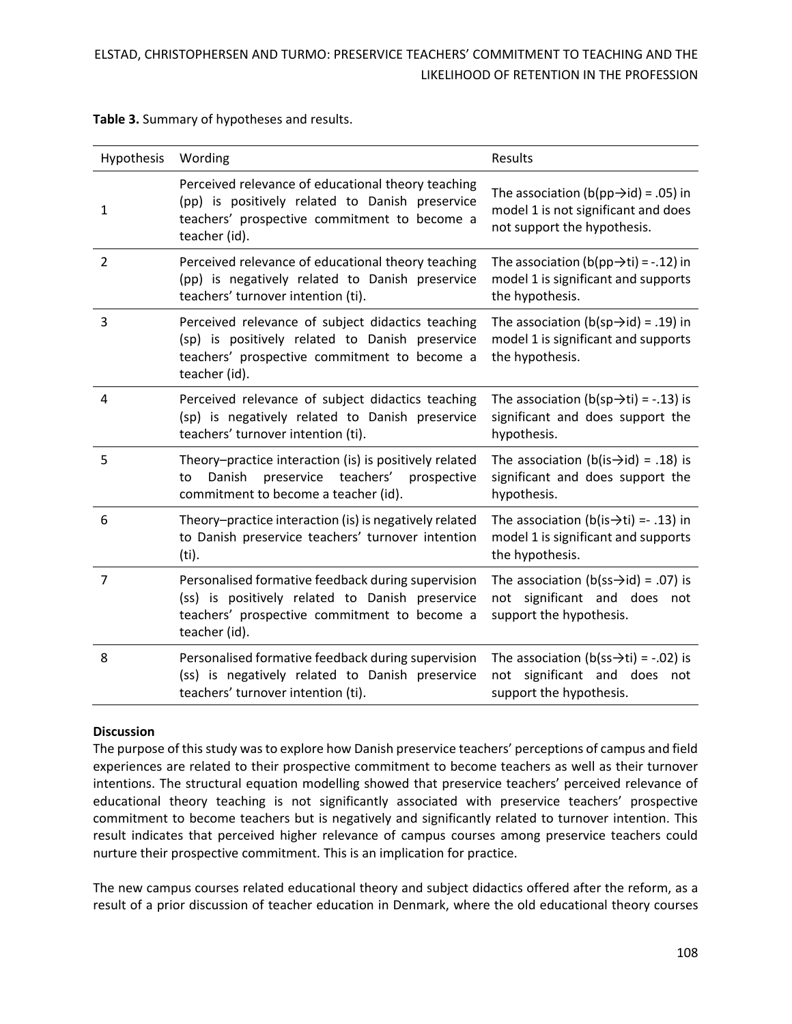| Hypothesis     | Wording                                                                                                                                                                | Results                                                                                                                 |
|----------------|------------------------------------------------------------------------------------------------------------------------------------------------------------------------|-------------------------------------------------------------------------------------------------------------------------|
| $\mathbf{1}$   | Perceived relevance of educational theory teaching<br>(pp) is positively related to Danish preservice<br>teachers' prospective commitment to become a<br>teacher (id). | The association (b(pp $\rightarrow$ id) = .05) in<br>model 1 is not significant and does<br>not support the hypothesis. |
| $\overline{2}$ | Perceived relevance of educational theory teaching<br>(pp) is negatively related to Danish preservice<br>teachers' turnover intention (ti).                            | The association (b(pp $\rightarrow$ ti) = -.12) in<br>model 1 is significant and supports<br>the hypothesis.            |
| 3              | Perceived relevance of subject didactics teaching<br>(sp) is positively related to Danish preservice<br>teachers' prospective commitment to become a<br>teacher (id).  | The association (b(sp $\rightarrow$ id) = .19) in<br>model 1 is significant and supports<br>the hypothesis.             |
| 4              | Perceived relevance of subject didactics teaching<br>(sp) is negatively related to Danish preservice<br>teachers' turnover intention (ti).                             | The association ( $b(sp\rightarrow ti) = -.13$ ) is<br>significant and does support the<br>hypothesis.                  |
| 5              | Theory-practice interaction (is) is positively related<br>preservice<br>teachers'<br>Danish<br>prospective<br>to<br>commitment to become a teacher (id).               | The association (b(is $\rightarrow$ id) = .18) is<br>significant and does support the<br>hypothesis.                    |
| 6              | Theory-practice interaction (is) is negatively related<br>to Danish preservice teachers' turnover intention<br>(ti).                                                   | The association (b(is $\rightarrow$ ti) = -.13) in<br>model 1 is significant and supports<br>the hypothesis.            |
| $\overline{7}$ | Personalised formative feedback during supervision<br>(ss) is positively related to Danish preservice<br>teachers' prospective commitment to become a<br>teacher (id). | The association (b(ss $\rightarrow$ id) = .07) is<br>significant and does not<br>not<br>support the hypothesis.         |
| 8              | Personalised formative feedback during supervision<br>(ss) is negatively related to Danish preservice<br>teachers' turnover intention (ti).                            | The association (b(ss $\rightarrow$ ti) = -.02) is<br>not significant and does not<br>support the hypothesis.           |

**Table 3.** Summary of hypotheses and results.

### **Discussion**

The purpose of this study was to explore how Danish preservice teachers' perceptions of campus and field experiences are related to their prospective commitment to become teachers as well as their turnover intentions. The structural equation modelling showed that preservice teachers' perceived relevance of educational theory teaching is not significantly associated with preservice teachers' prospective commitment to become teachers but is negatively and significantly related to turnover intention. This result indicates that perceived higher relevance of campus courses among preservice teachers could nurture their prospective commitment. This is an implication for practice.

The new campus courses related educational theory and subject didactics offered after the reform, as a result of a prior discussion of teacher education in Denmark, where the old educational theory courses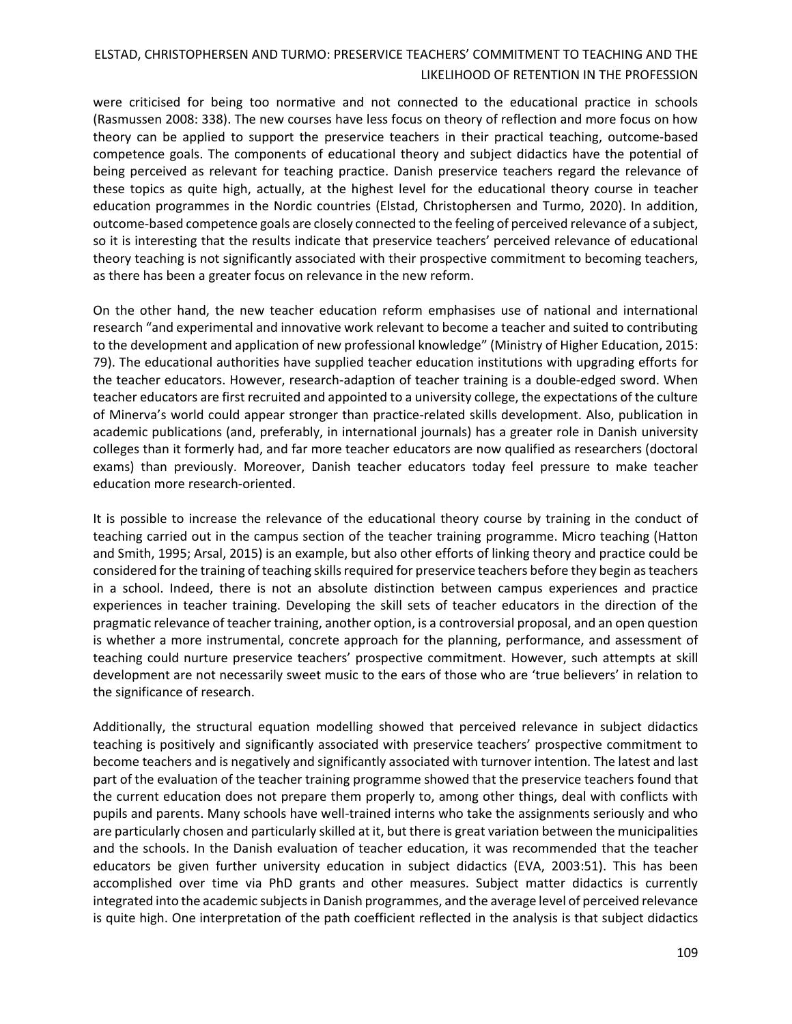were criticised for being too normative and not connected to the educational practice in schools (Rasmussen 2008: 338). The new courses have less focus on theory of reflection and more focus on how theory can be applied to support the preservice teachers in their practical teaching, outcome-based competence goals. The components of educational theory and subject didactics have the potential of being perceived as relevant for teaching practice. Danish preservice teachers regard the relevance of these topics as quite high, actually, at the highest level for the educational theory course in teacher education programmes in the Nordic countries (Elstad, Christophersen and Turmo, 2020). In addition, outcome-based competence goals are closely connected to the feeling of perceived relevance of a subject, so it is interesting that the results indicate that preservice teachers' perceived relevance of educational theory teaching is not significantly associated with their prospective commitment to becoming teachers, as there has been a greater focus on relevance in the new reform.

On the other hand, the new teacher education reform emphasises use of national and international research "and experimental and innovative work relevant to become a teacher and suited to contributing to the development and application of new professional knowledge" (Ministry of Higher Education, 2015: 79). The educational authorities have supplied teacher education institutions with upgrading efforts for the teacher educators. However, research-adaption of teacher training is a double-edged sword. When teacher educators are first recruited and appointed to a university college, the expectations of the culture of Minerva's world could appear stronger than practice-related skills development. Also, publication in academic publications (and, preferably, in international journals) has a greater role in Danish university colleges than it formerly had, and far more teacher educators are now qualified as researchers (doctoral exams) than previously. Moreover, Danish teacher educators today feel pressure to make teacher education more research-oriented.

It is possible to increase the relevance of the educational theory course by training in the conduct of teaching carried out in the campus section of the teacher training programme. Micro teaching (Hatton and Smith, 1995; Arsal, 2015) is an example, but also other efforts of linking theory and practice could be considered for the training of teaching skills required for preservice teachers before they begin as teachers in a school. Indeed, there is not an absolute distinction between campus experiences and practice experiences in teacher training. Developing the skill sets of teacher educators in the direction of the pragmatic relevance of teacher training, another option, is a controversial proposal, and an open question is whether a more instrumental, concrete approach for the planning, performance, and assessment of teaching could nurture preservice teachers' prospective commitment. However, such attempts at skill development are not necessarily sweet music to the ears of those who are 'true believers' in relation to the significance of research.

Additionally, the structural equation modelling showed that perceived relevance in subject didactics teaching is positively and significantly associated with preservice teachers' prospective commitment to become teachers and is negatively and significantly associated with turnover intention. The latest and last part of the evaluation of the teacher training programme showed that the preservice teachers found that the current education does not prepare them properly to, among other things, deal with conflicts with pupils and parents. Many schools have well-trained interns who take the assignments seriously and who are particularly chosen and particularly skilled at it, but there is great variation between the municipalities and the schools. In the Danish evaluation of teacher education, it was recommended that the teacher educators be given further university education in subject didactics (EVA, 2003:51). This has been accomplished over time via PhD grants and other measures. Subject matter didactics is currently integrated into the academic subjectsin Danish programmes, and the average level of perceived relevance is quite high. One interpretation of the path coefficient reflected in the analysis is that subject didactics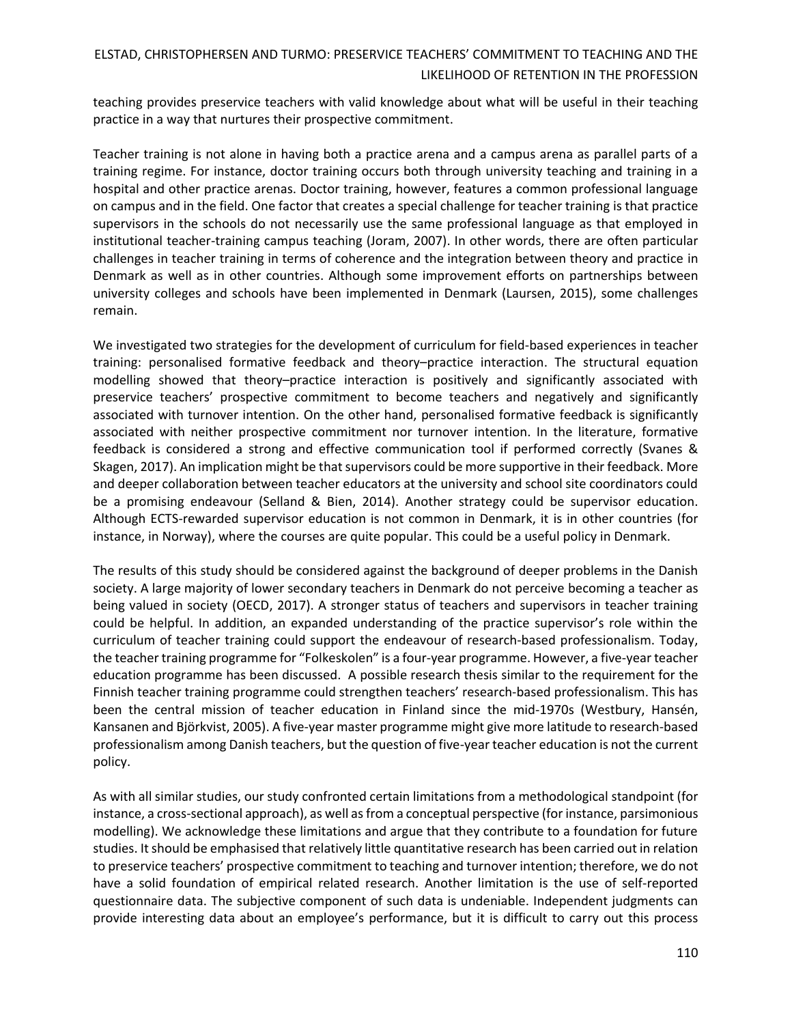teaching provides preservice teachers with valid knowledge about what will be useful in their teaching practice in a way that nurtures their prospective commitment.

Teacher training is not alone in having both a practice arena and a campus arena as parallel parts of a training regime. For instance, doctor training occurs both through university teaching and training in a hospital and other practice arenas. Doctor training, however, features a common professional language on campus and in the field. One factor that creates a special challenge for teacher training is that practice supervisors in the schools do not necessarily use the same professional language as that employed in institutional teacher-training campus teaching (Joram, 2007). In other words, there are often particular challenges in teacher training in terms of coherence and the integration between theory and practice in Denmark as well as in other countries. Although some improvement efforts on partnerships between university colleges and schools have been implemented in Denmark (Laursen, 2015), some challenges remain.

We investigated two strategies for the development of curriculum for field-based experiences in teacher training: personalised formative feedback and theory–practice interaction. The structural equation modelling showed that theory–practice interaction is positively and significantly associated with preservice teachers' prospective commitment to become teachers and negatively and significantly associated with turnover intention. On the other hand, personalised formative feedback is significantly associated with neither prospective commitment nor turnover intention. In the literature, formative feedback is considered a strong and effective communication tool if performed correctly (Svanes & Skagen, 2017). An implication might be that supervisors could be more supportive in their feedback. More and deeper collaboration between teacher educators at the university and school site coordinators could be a promising endeavour (Selland & Bien, 2014). Another strategy could be supervisor education. Although ECTS-rewarded supervisor education is not common in Denmark, it is in other countries (for instance, in Norway), where the courses are quite popular. This could be a useful policy in Denmark.

The results of this study should be considered against the background of deeper problems in the Danish society. A large majority of lower secondary teachers in Denmark do not perceive becoming a teacher as being valued in society (OECD, 2017). A stronger status of teachers and supervisors in teacher training could be helpful. In addition, an expanded understanding of the practice supervisor's role within the curriculum of teacher training could support the endeavour of research-based professionalism. Today, the teacher training programme for "Folkeskolen" is a four-year programme. However, a five-year teacher education programme has been discussed. A possible research thesis similar to the requirement for the Finnish teacher training programme could strengthen teachers' research-based professionalism. This has been the central mission of teacher education in Finland since the mid-1970s (Westbury, Hansén, Kansanen and Björkvist, 2005). A five-year master programme might give more latitude to research‐based professionalism among Danish teachers, but the question of five-year teacher education is not the current policy.

As with all similar studies, our study confronted certain limitations from a methodological standpoint (for instance, a cross-sectional approach), as well as from a conceptual perspective (for instance, parsimonious modelling). We acknowledge these limitations and argue that they contribute to a foundation for future studies. It should be emphasised that relatively little quantitative research has been carried out in relation to preservice teachers' prospective commitment to teaching and turnover intention; therefore, we do not have a solid foundation of empirical related research. Another limitation is the use of self-reported questionnaire data. The subjective component of such data is undeniable. Independent judgments can provide interesting data about an employee's performance, but it is difficult to carry out this process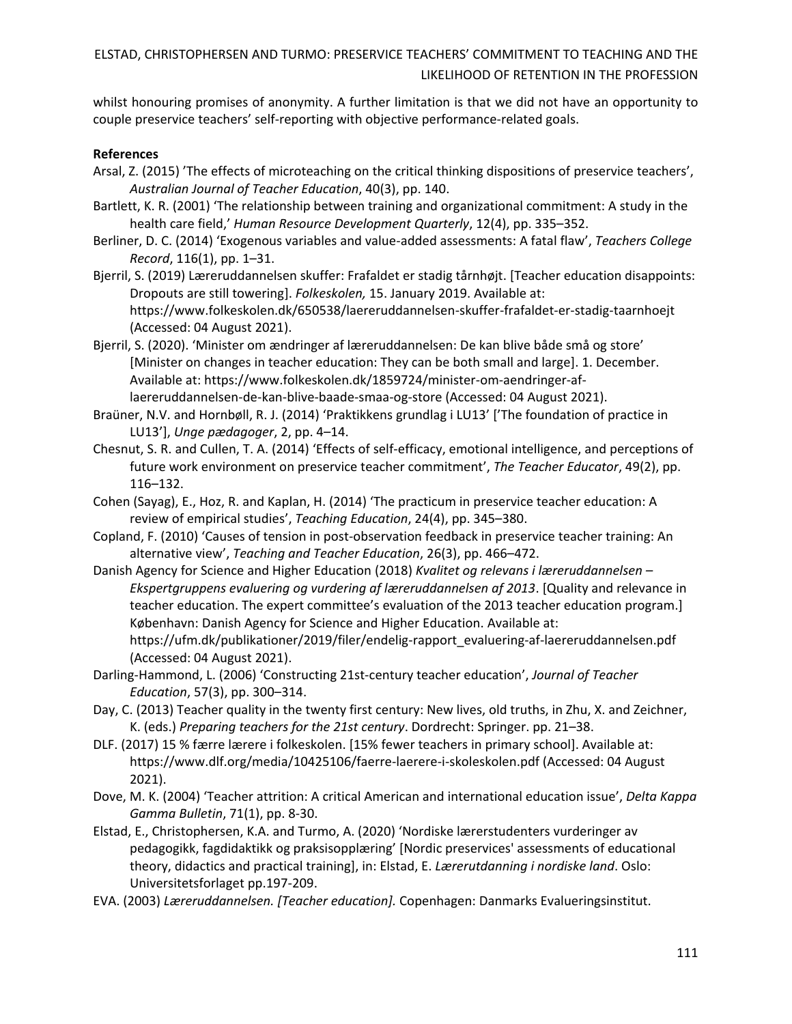whilst honouring promises of anonymity. A further limitation is that we did not have an opportunity to couple preservice teachers' self-reporting with objective performance-related goals.

### **References**

- Arsal, Z. (2015) 'The effects of microteaching on the critical thinking dispositions of preservice teachers', *Australian Journal of Teacher Education*, 40(3), pp. 140.
- Bartlett, K. R. (2001) 'The relationship between training and organizational commitment: A study in the health care field,' *Human Resource Development Quarterly*, 12(4), pp. 335–352.
- Berliner, D. C. (2014) 'Exogenous variables and value-added assessments: A fatal flaw', *Teachers College Record*, 116(1), pp. 1–31.
- Bjerril, S. (2019) Læreruddannelsen skuffer: Frafaldet er stadig tårnhøjt. [Teacher education disappoints: Dropouts are still towering]. *Folkeskolen,* 15. January 2019. Available at: <https://www.folkeskolen.dk/650538/laereruddannelsen-skuffer-frafaldet-er-stadig-taarnhoejt> (Accessed: 04 August 2021).
- Bjerril, S. (2020). 'Minister om ændringer af læreruddannelsen: De kan blive både små og store' [Minister on changes in teacher education: They can be both small and large]. 1. December. Available at: [https://www.folkeskolen.dk/1859724/minister-om-aendringer-af](https://www.folkeskolen.dk/1859724/minister-om-aendringer-af-laereruddannelsen-de-kan-blive-baade-smaa-og-store)[laereruddannelsen-de-kan-blive-baade-smaa-og-store](https://www.folkeskolen.dk/1859724/minister-om-aendringer-af-laereruddannelsen-de-kan-blive-baade-smaa-og-store) (Accessed: 04 August 2021).
- Braüner, N.V. and Hornbøll, R. J. (2014) 'Praktikkens grundlag i LU13' ['The foundation of practice in LU13'], *Unge pædagoger*, 2, pp. 4–14.
- Chesnut, S. R. and Cullen, T. A. (2014) 'Effects of self-efficacy, emotional intelligence, and perceptions of future work environment on preservice teacher commitment', *The Teacher Educator*, 49(2), pp. 116–132.
- Cohen (Sayag), E., Hoz, R. and Kaplan, H. (2014) 'The practicum in preservice teacher education: A review of empirical studies', *Teaching Education*, 24(4), pp. 345–380.
- Copland, F. (2010) 'Causes of tension in post-observation feedback in preservice teacher training: An alternative view', *Teaching and Teacher Education*, 26(3), pp. 466–472.
- Danish Agency for Science and Higher Education (2018) *Kvalitet og relevans i læreruddannelsen – Ekspertgruppens evaluering og vurdering af læreruddannelsen af 2013*. [Quality and relevance in teacher education. The expert committee's evaluation of the 2013 teacher education program.] København: Danish Agency for Science and Higher Education. Available at: [https://ufm.dk/publikationer/2019/filer/endelig-rapport\\_evaluering-af-laereruddannelsen.pdf](https://ufm.dk/publikationer/2019/filer/endelig-rapport_evaluering-af-laereruddannelsen.pdf) (Accessed: 04 August 2021).
- Darling-Hammond, L. (2006) 'Constructing 21st-century teacher education', *Journal of Teacher Education*, 57(3), pp. 300–314.
- Day, C. (2013) Teacher quality in the twenty first century: New lives, old truths, in Zhu, X. and Zeichner, K. (eds.) *Preparing teachers for the 21st century*. Dordrecht: Springer. pp. 21–38.
- DLF. (2017) 15 % færre lærere i folkeskolen. [15% fewer teachers in primary school]. Available at: <https://www.dlf.org/media/10425106/faerre-laerere-i-skoleskolen.pdf> (Accessed: 04 August 2021).
- Dove, M. K. (2004) 'Teacher attrition: A critical American and international education issue', *Delta Kappa Gamma Bulletin*, 71(1), pp. 8-30.
- Elstad, E., Christophersen, K.A. and Turmo, A. (2020) 'Nordiske lærerstudenters vurderinger av pedagogikk, fagdidaktikk og praksisopplæring' [Nordic preservices' assessments of educational theory, didactics and practical training], in: Elstad, E. *Lærerutdanning i nordiske land*. Oslo: Universitetsforlaget pp.197-209.
- EVA. (2003) *Læreruddannelsen. [Teacher education].* Copenhagen: Danmarks Evalueringsinstitut.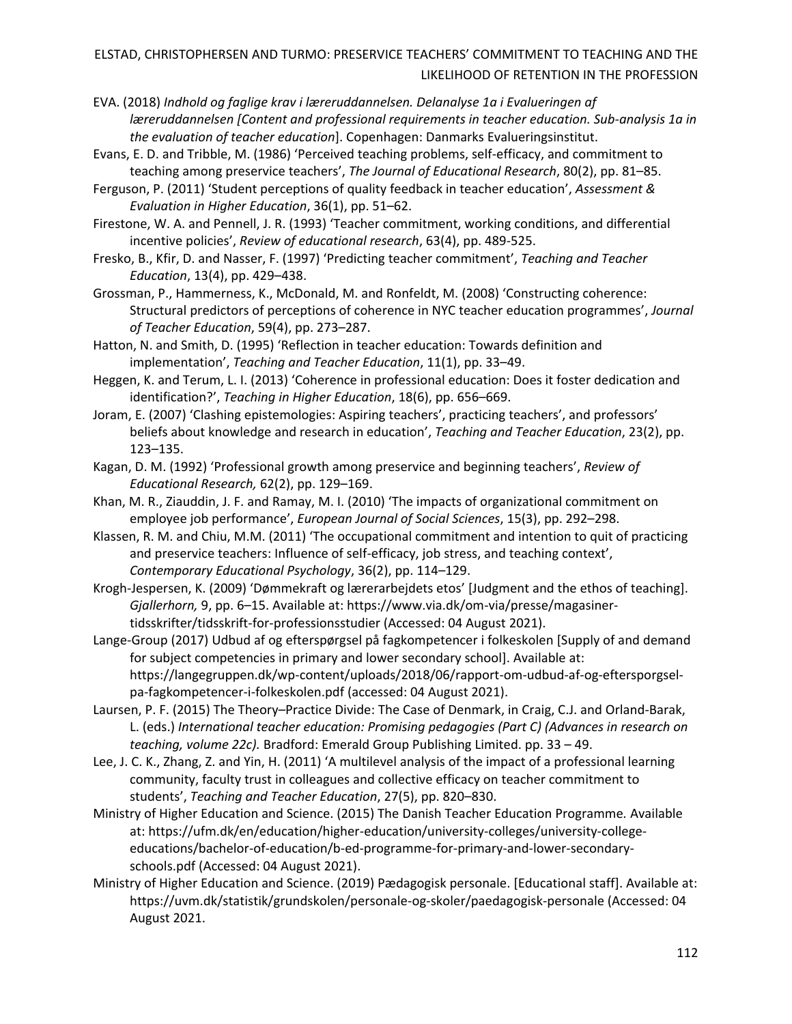EVA. (2018) *Indhold og faglige krav i læreruddannelsen. Delanalyse 1a i Evalueringen af læreruddannelsen [Content and professional requirements in teacher education. Sub-analysis 1a in the evaluation of teacher education*]. Copenhagen: Danmarks Evalueringsinstitut.

- Evans, E. D. and Tribble, M. (1986) 'Perceived teaching problems, self-efficacy, and commitment to teaching among preservice teachers', *The Journal of Educational Research*, 80(2), pp. 81–85.
- Ferguson, P. (2011) 'Student perceptions of quality feedback in teacher education', *Assessment & Evaluation in Higher Education*, 36(1), pp. 51–62.
- Firestone, W. A. and Pennell, J. R. (1993) 'Teacher commitment, working conditions, and differential incentive policies', *Review of educational research*, 63(4), pp. 489-525.
- Fresko, B., Kfir, D. and Nasser, F. (1997) 'Predicting teacher commitment', *Teaching and Teacher Education*, 13(4), pp. 429–438.

Grossman, P., Hammerness, K., McDonald, M. and Ronfeldt, M. (2008) 'Constructing coherence: Structural predictors of perceptions of coherence in NYC teacher education programmes', *Journal of Teacher Education*, 59(4), pp. 273–287.

- Hatton, N. and Smith, D. (1995) 'Reflection in teacher education: Towards definition and implementation', *Teaching and Teacher Education*, 11(1), pp. 33–49.
- Heggen, K. and Terum, L. I. (2013) 'Coherence in professional education: Does it foster dedication and identification?', *Teaching in Higher Education*, 18(6), pp. 656–669.
- Joram, E. (2007) 'Clashing epistemologies: Aspiring teachers', practicing teachers', and professors' beliefs about knowledge and research in education', *Teaching and Teacher Education*, 23(2), pp. 123–135.
- Kagan, D. M. (1992) 'Professional growth among preservice and beginning teachers', *Review of Educational Research,* 62(2), pp. 129–169.
- Khan, M. R., Ziauddin, J. F. and Ramay, M. I. (2010) 'The impacts of organizational commitment on employee job performance', *European Journal of Social Sciences*, 15(3), pp. 292–298.
- Klassen, R. M. and Chiu, M.M. (2011) 'The occupational commitment and intention to quit of practicing and preservice teachers: Influence of self-efficacy, job stress, and teaching context', *Contemporary Educational Psychology*, 36(2), pp. 114–129.
- Krogh-Jespersen, K. (2009) 'Dømmekraft og lærerarbejdets etos' [Judgment and the ethos of teaching]. *Gjallerhorn,* 9, pp. 6–15. Available at: [https://www.via.dk/om-via/presse/magasiner](https://www.via.dk/om-via/presse/magasiner-tidsskrifter/tidsskrift-for-professionsstudier)[tidsskrifter/tidsskrift-for-professionsstudier](https://www.via.dk/om-via/presse/magasiner-tidsskrifter/tidsskrift-for-professionsstudier) (Accessed: 04 August 2021).
- Lange-Group (2017) Udbud af og efterspørgsel på fagkompetencer i folkeskolen [Supply of and demand for subject competencies in primary and lower secondary school]. Available at: [https://langegruppen.dk/wp-content/uploads/2018/06/rapport-om-udbud-af-og-eftersporgsel](https://langegruppen.dk/wp-content/uploads/2018/06/rapport-om-udbud-af-og-eftersporgsel-pa-fagkompetencer-i-folkeskolen.pdf)[pa-fagkompetencer-i-folkeskolen.pdf](https://langegruppen.dk/wp-content/uploads/2018/06/rapport-om-udbud-af-og-eftersporgsel-pa-fagkompetencer-i-folkeskolen.pdf) (accessed: 04 August 2021).
- Laursen, P. F. (2015) The Theory–Practice Divide: The Case of Denmark, in Craig, C.J. and Orland-Barak, L. (eds.) *International teacher education: Promising pedagogies (Part C) (Advances in research on teaching, volume 22c).* Bradford: Emerald Group Publishing Limited. pp. 33 – 49.
- Lee, J. C. K., Zhang, Z. and Yin, H. (2011) 'A multilevel analysis of the impact of a professional learning community, faculty trust in colleagues and collective efficacy on teacher commitment to students', *Teaching and Teacher Education*, 27(5), pp. 820–830.
- Ministry of Higher Education and Science. (2015) The Danish Teacher Education Programme*.* Available at: [https://ufm.dk/en/education/higher-education/university-colleges/university-college](https://ufm.dk/en/education/higher-education/university-colleges/university-college-educations/bachelor-of-education/b-ed-programme-for-primary-and-lower-secondary-schools.pdf)[educations/bachelor-of-education/b-ed-programme-for-primary-and-lower-secondary](https://ufm.dk/en/education/higher-education/university-colleges/university-college-educations/bachelor-of-education/b-ed-programme-for-primary-and-lower-secondary-schools.pdf)[schools.pdf](https://ufm.dk/en/education/higher-education/university-colleges/university-college-educations/bachelor-of-education/b-ed-programme-for-primary-and-lower-secondary-schools.pdf) (Accessed: 04 August 2021).
- Ministry of Higher Education and Science. (2019) Pædagogisk personale. [Educational staff]. Available at: <https://uvm.dk/statistik/grundskolen/personale-og-skoler/paedagogisk-personale> (Accessed: 04 August 2021.